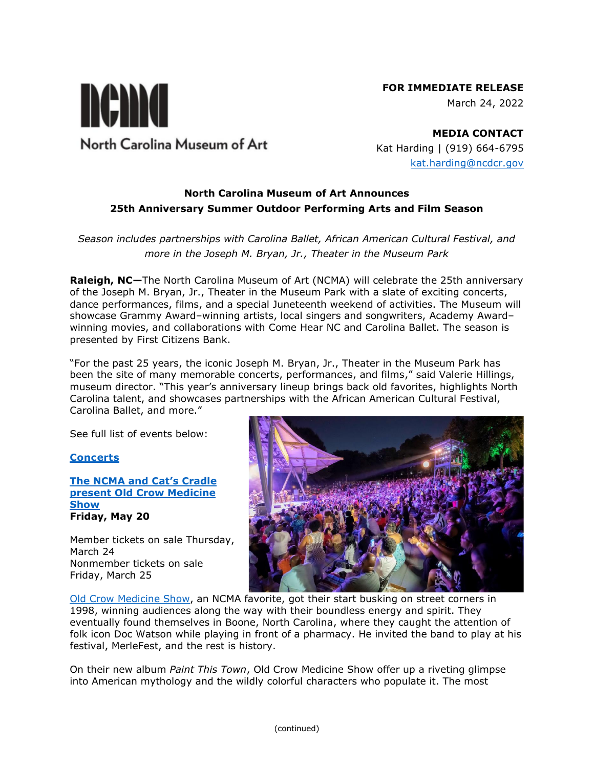## **FOR IMMEDIATE RELEASE**

March 24, 2022



**MEDIA CONTACT** Kat Harding | (919) 664-6795 [kat.harding@ncdcr.gov](mailto:kat.harding@ncdcr.gov)

## **North Carolina Museum of Art Announces 25th Anniversary Summer Outdoor Performing Arts and Film Season**

# *Season includes partnerships with Carolina Ballet, African American Cultural Festival, and more in the Joseph M. Bryan, Jr., Theater in the Museum Park*

**Raleigh, NC—**The North Carolina Museum of Art (NCMA) will celebrate the 25th anniversary of the Joseph M. Bryan, Jr., Theater in the Museum Park with a slate of exciting concerts, dance performances, films, and a special Juneteenth weekend of activities. The Museum will showcase Grammy Award–winning artists, local singers and songwriters, Academy Award– winning movies, and collaborations with Come Hear NC and Carolina Ballet. The season is presented by First Citizens Bank.

"For the past 25 years, the iconic Joseph M. Bryan, Jr., Theater in the Museum Park has been the site of many memorable concerts, performances, and films," said Valerie Hillings, museum director. "This year's anniversary lineup brings back old favorites, highlights North Carolina talent, and showcases partnerships with the African American Cultural Festival, Carolina Ballet, and more."

See full list of events below:

## **[Concerts](https://ncartmuseum.org/series/2022-amphitheater-concert-season/)**

**The [NCMA and Cat's Cradle](https://ncartmuseum.org/events/the-ncma-and-cats-cradle-present-old-crow-medicine-show/)  [present Old Crow Medicine](https://ncartmuseum.org/events/the-ncma-and-cats-cradle-present-old-crow-medicine-show/)  [Show](https://ncartmuseum.org/events/the-ncma-and-cats-cradle-present-old-crow-medicine-show/) Friday, May 20**

Member tickets on sale Thursday, March 24 Nonmember tickets on sale Friday, March 25



[Old Crow Medicine Show,](https://www.crowmedicine.com/) an NCMA favorite, got their start busking on street corners in 1998, winning audiences along the way with their boundless energy and spirit. They eventually found themselves in Boone, North Carolina, where they caught the attention of folk icon Doc Watson while playing in front of a pharmacy. He invited the band to play at his festival, MerleFest, and the rest is history.

On their new album *Paint This Town*, Old Crow Medicine Show offer up a riveting glimpse into American mythology and the wildly colorful characters who populate it. The most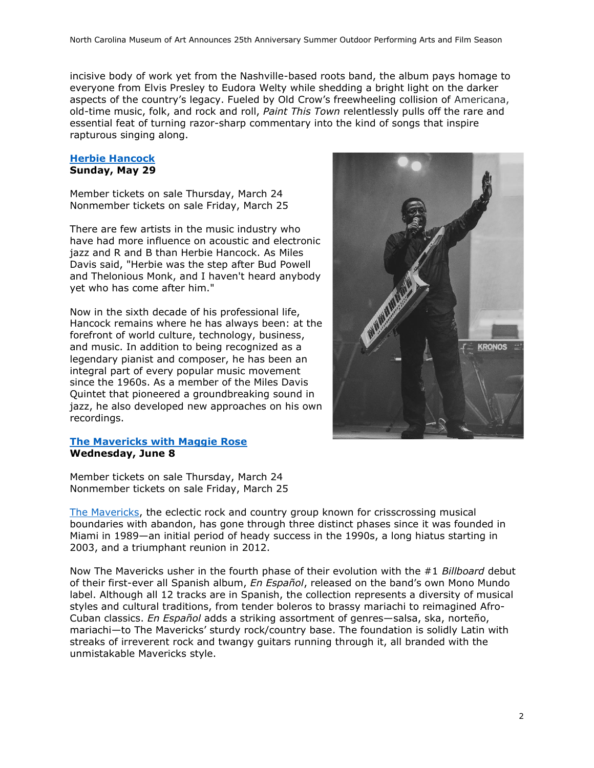incisive body of work yet from the Nashville-based roots band, the album pays homage to everyone from Elvis Presley to Eudora Welty while shedding a bright light on the darker aspects of the country's legacy. Fueled by Old Crow's freewheeling collision of Americana, old-time music, folk, and rock and roll, *Paint This Town* relentlessly pulls off the rare and essential feat of turning razor-sharp commentary into the kind of songs that inspire rapturous singing along.

#### **[Herbie Hancock](https://ncartmuseum.org/events/herbie-hancock/) Sunday, May 29**

Member tickets on sale Thursday, March 24 Nonmember tickets on sale Friday, March 25

There are few artists in the music industry who have had more influence on acoustic and electronic jazz and R and B than Herbie Hancock. As Miles Davis said, "Herbie was the step after Bud Powell and Thelonious Monk, and I haven't heard anybody yet who has come after him."

Now in the sixth decade of his professional life, Hancock remains where he has always been: at the forefront of world culture, technology, business, and music. In addition to being recognized as a legendary pianist and composer, he has been an integral part of every popular music movement since the 1960s. As a member of the Miles Davis Quintet that pioneered a groundbreaking sound in jazz, he also developed new approaches on his own recordings.

#### **[The Mavericks with Maggie Rose](https://ncartmuseum.org/events/the-mavericks-with-maggie-rose/) Wednesday, June 8**

**KRONOS** 

Member tickets on sale Thursday, March 24 Nonmember tickets on sale Friday, March 25

[The Mavericks,](https://www.themavericksband.com/) the eclectic rock and country group known for crisscrossing musical boundaries with abandon, has gone through three distinct phases since it was founded in Miami in 1989—an initial period of heady success in the 1990s, a long hiatus starting in 2003, and a triumphant reunion in 2012.

Now The Mavericks usher in the fourth phase of their evolution with the #1 *Billboard* debut of their first-ever all Spanish album, *En Español*, released on the band's own Mono Mundo label. Although all 12 tracks are in Spanish, the collection represents a diversity of musical styles and cultural traditions, from tender boleros to brassy mariachi to reimagined Afro-Cuban classics. *En Español* adds a striking assortment of genres—salsa, ska, norteño, mariachi—to The Mavericks' sturdy rock/country base. The foundation is solidly Latin with streaks of irreverent rock and twangy guitars running through it, all branded with the unmistakable Mavericks style.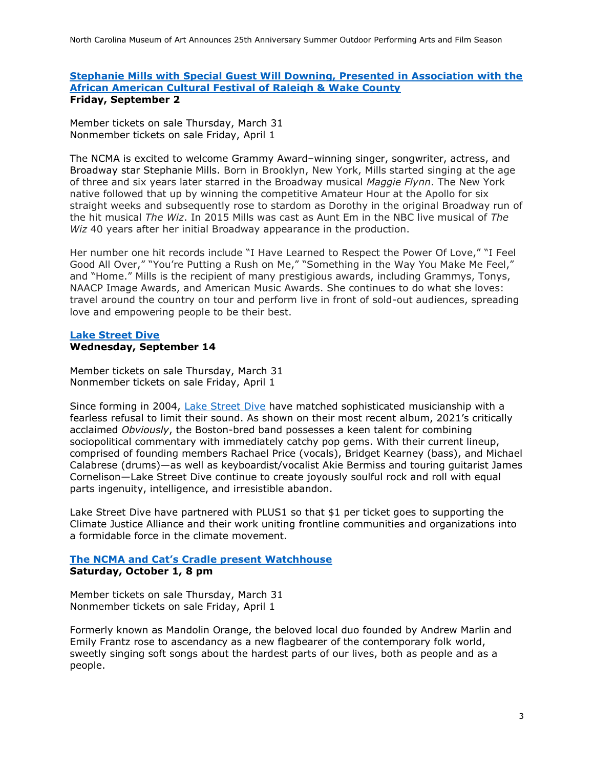#### **[Stephanie Mills with Special Guest Will Downing, Presented in Association with the](https://ncartmuseum.org/events/the-ncma-presents-in-association-with-the-african-american-cultural-festival-of-raleigh-and-wake-county-stephanie-mills-with-special-guest-will-downing/)  [African American Cultural Festival of Raleigh & Wake County](https://ncartmuseum.org/events/the-ncma-presents-in-association-with-the-african-american-cultural-festival-of-raleigh-and-wake-county-stephanie-mills-with-special-guest-will-downing/) Friday, September 2**

Member tickets on sale Thursday, March 31 Nonmember tickets on sale Friday, April 1

The NCMA is excited to welcome Grammy Award–winning singer, songwriter, actress, and Broadway star Stephanie Mills. Born in Brooklyn, New York, Mills started singing at the age of three and six years later starred in the Broadway musical *Maggie Flynn*. The New York native followed that up by winning the competitive Amateur Hour at the Apollo for six straight weeks and subsequently rose to stardom as Dorothy in the original Broadway run of the hit musical *The Wiz*. In 2015 Mills was cast as Aunt Em in the NBC live musical of *The Wiz* 40 years after her initial Broadway appearance in the production.

Her number one hit records include "I Have Learned to Respect the Power Of Love," "I Feel Good All Over," "You're Putting a Rush on Me," "Something in the Way You Make Me Feel," and "Home." Mills is the recipient of many prestigious awards, including Grammys, Tonys, NAACP Image Awards, and American Music Awards. She continues to do what she loves: travel around the country on tour and perform live in front of sold-out audiences, spreading love and empowering people to be their best.

### **[Lake Street Dive](https://ncartmuseum.org/events/the-ncma-presents-lake-street-dive/) Wednesday, September 14**

Member tickets on sale Thursday, March 31 Nonmember tickets on sale Friday, April 1

Since forming in 2004, [Lake Street Dive](https://www.lakestreetdive.com/about) have matched sophisticated musicianship with a fearless refusal to limit their sound. As shown on their most recent album, 2021's critically acclaimed *Obviously*, the Boston-bred band possesses a keen talent for combining sociopolitical commentary with immediately catchy pop gems. With their current lineup, comprised of founding members Rachael Price (vocals), Bridget Kearney (bass), and Michael Calabrese (drums)—as well as keyboardist/vocalist Akie Bermiss and touring guitarist James Cornelison—Lake Street Dive continue to create joyously soulful rock and roll with equal parts ingenuity, intelligence, and irresistible abandon.

Lake Street Dive have partnered with PLUS1 so that \$1 per ticket goes to supporting the Climate Justice Alliance and their work uniting frontline communities and organizations into a formidable force in the climate movement.

### **[The NCMA and Cat's Cradle present Watchhouse](https://ncartmuseum.org/events/the-ncma-and-cats-cradle-present-watchhouse/) Saturday, October 1, 8 pm**

Member tickets on sale Thursday, March 31 Nonmember tickets on sale Friday, April 1

Formerly known as Mandolin Orange, the beloved local duo founded by Andrew Marlin and Emily Frantz rose to ascendancy as a new flagbearer of the contemporary folk world, sweetly singing soft songs about the hardest parts of our lives, both as people and as a people.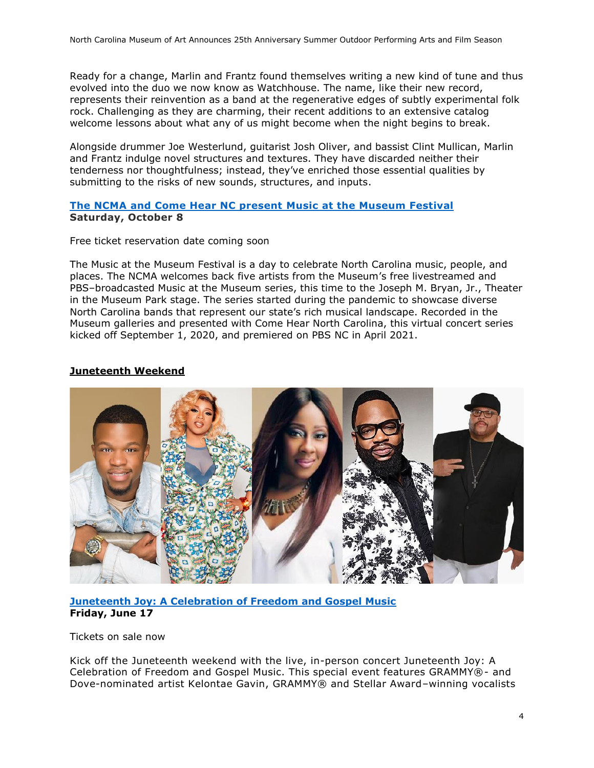Ready for a change, Marlin and Frantz found themselves writing a new kind of tune and thus evolved into the duo we now know as Watchhouse. The name, like their new record, represents their reinvention as a band at the regenerative edges of subtly experimental folk rock. Challenging as they are charming, their recent additions to an extensive catalog welcome lessons about what any of us might become when the night begins to break.

Alongside drummer Joe Westerlund, guitarist Josh Oliver, and bassist Clint Mullican, Marlin and Frantz indulge novel structures and textures. They have discarded neither their tenderness nor thoughtfulness; instead, they've enriched those essential qualities by submitting to the risks of new sounds, structures, and inputs.

### **[The NCMA and Come Hear NC present Music](https://ncartmuseum.org/events/the-ncma-and-come-hear-nc-present-music-at-the-museum-festival/) at the Museum Festival Saturday, October 8**

Free ticket reservation date coming soon

The Music at the Museum Festival is a day to celebrate North Carolina music, people, and places. The NCMA welcomes back five artists from the Museum's free livestreamed and PBS–broadcasted Music at the Museum series, this time to the Joseph M. Bryan, Jr., Theater in the Museum Park stage. The series started during the pandemic to showcase diverse North Carolina bands that represent our state's rich musical landscape. Recorded in the Museum galleries and presented with Come Hear North Carolina, this virtual concert series kicked off September 1, 2020, and premiered on PBS NC in April 2021.

## **Juneteenth Weekend**



**[Juneteenth Joy: A Celebration of Freedom and Gospel Music](https://ncartmuseum.org/events/juneteenth-joy-a-celebration-of-freedom-and-gospel-music/) Friday, June 17**

Tickets on sale now

Kick off the Juneteenth weekend with the live, in-person concert Juneteenth Joy: A Celebration of Freedom and Gospel Music. This special event features GRAMMY®- and Dove-nominated artist Kelontae Gavin, GRAMMY® and Stellar Award–winning vocalists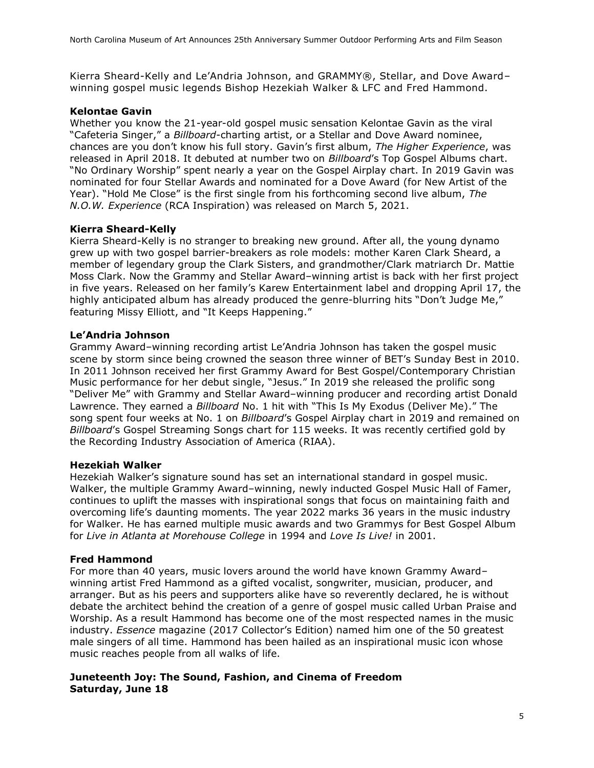Kierra Sheard-Kelly and Le'Andria Johnson, and GRAMMY®, Stellar, and Dove Award– winning gospel music legends Bishop Hezekiah Walker & LFC and Fred Hammond.

#### **Kelontae Gavin**

Whether you know the 21-year-old gospel music sensation Kelontae Gavin as the viral "Cafeteria Singer," a *Billboard*-charting artist, or a Stellar and Dove Award nominee, chances are you don't know his full story. Gavin's first album, *The Higher Experience*, was released in April 2018. It debuted at number two on *Billboard*'s Top Gospel Albums chart. "No Ordinary Worship" spent nearly a year on the Gospel Airplay chart. In 2019 Gavin was nominated for four Stellar Awards and nominated for a Dove Award (for New Artist of the Year). "Hold Me Close" is the first single from his forthcoming second live album, *The N.O.W. Experience* (RCA Inspiration) was released on March 5, 2021.

### **Kierra Sheard-Kelly**

Kierra Sheard-Kelly is no stranger to breaking new ground. After all, the young dynamo grew up with two gospel barrier-breakers as role models: mother Karen Clark Sheard, a member of legendary group the Clark Sisters, and grandmother/Clark matriarch Dr. Mattie Moss Clark. Now the Grammy and Stellar Award–winning artist is back with her first project in five years. Released on her family's Karew Entertainment label and dropping April 17, the highly anticipated album has already produced the genre-blurring hits "Don't Judge Me," featuring Missy Elliott, and "It Keeps Happening."

#### **Le'Andria Johnson**

Grammy Award–winning recording artist Le'Andria Johnson has taken the gospel music scene by storm since being crowned the season three winner of BET's Sunday Best in 2010. In 2011 Johnson received her first Grammy Award for Best Gospel/Contemporary Christian Music performance for her debut single, "Jesus." In 2019 she released the prolific song "Deliver Me" with Grammy and Stellar Award–winning producer and recording artist Donald Lawrence. They earned a *Billboard* No. 1 hit with "This Is My Exodus (Deliver Me)." The song spent four weeks at No. 1 on *Billboard*'s Gospel Airplay chart in 2019 and remained on *Billboard*'s Gospel Streaming Songs chart for 115 weeks. It was recently certified gold by the Recording Industry Association of America (RIAA).

#### **Hezekiah Walker**

Hezekiah Walker's signature sound has set an international standard in gospel music. Walker, the multiple Grammy Award–winning, newly inducted Gospel Music Hall of Famer, continues to uplift the masses with inspirational songs that focus on maintaining faith and overcoming life's daunting moments. The year 2022 marks 36 years in the music industry for Walker. He has earned multiple music awards and two Grammys for Best Gospel Album for *Live in Atlanta at Morehouse College* in 1994 and *Love Is Live!* in 2001.

#### **Fred Hammond**

For more than 40 years, music lovers around the world have known Grammy Award– winning artist Fred Hammond as a gifted vocalist, songwriter, musician, producer, and arranger. But as his peers and supporters alike have so reverently declared, he is without debate the architect behind the creation of a genre of gospel music called Urban Praise and Worship. As a result Hammond has become one of the most respected names in the music industry. *Essence* magazine (2017 Collector's Edition) named him one of the 50 greatest male singers of all time. Hammond has been hailed as an inspirational music icon whose music reaches people from all walks of life.

### **Juneteenth Joy: The Sound, Fashion, and Cinema of Freedom Saturday, June 18**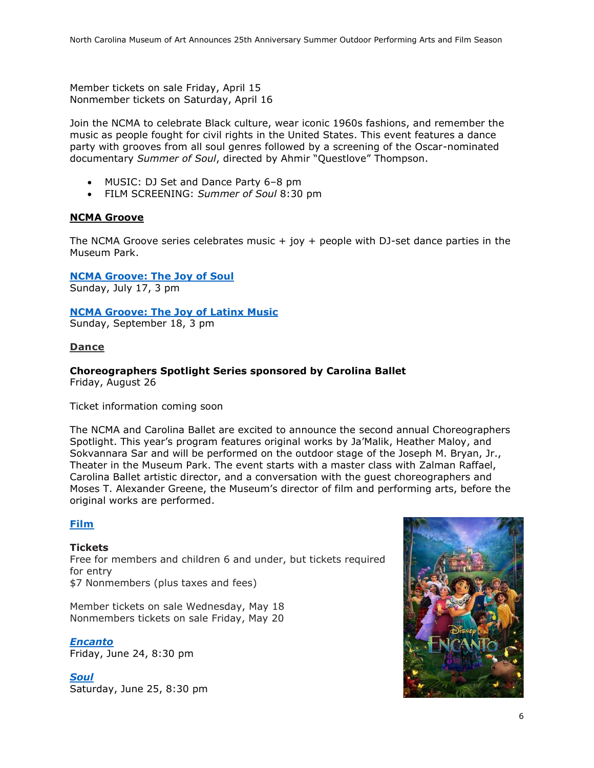Member tickets on sale Friday, April 15 Nonmember tickets on Saturday, April 16

Join the NCMA to celebrate Black culture, wear iconic 1960s fashions, and remember the music as people fought for civil rights in the United States. This event features a dance party with grooves from all soul genres followed by a screening of the Oscar-nominated documentary *Summer of Soul*, directed by Ahmir "Questlove" Thompson.

- MUSIC: DJ Set and Dance Party 6–8 pm
- FILM SCREENING: *Summer of Soul* 8:30 pm

#### **NCMA Groove**

The NCMA Groove series celebrates music  $+$  joy  $+$  people with DJ-set dance parties in the Museum Park.

**[NCMA Groove: The Joy](https://ncartmuseum.org/events/ncma-groove-the-joy-of-soul/) of Soul** Sunday, July 17, 3 pm

#### **[NCMA Groove: The Joy](https://ncartmuseum.org/events/ncma-groove-the-joy-of-latinx-music-2/) of Latinx Music**

Sunday, September 18, 3 pm

#### **Dance**

# **Choreographers Spotlight Series sponsored by Carolina Ballet**

Friday, August 26

Ticket information coming soon

The NCMA and Carolina Ballet are excited to announce the second annual Choreographers Spotlight. This year's program features original works by Ja'Malik, Heather Maloy, and Sokvannara Sar and will be performed on the outdoor stage of the Joseph M. Bryan, Jr., Theater in the Museum Park. The event starts with a master class with Zalman Raffael, Carolina Ballet artistic director, and a conversation with the guest choreographers and Moses T. Alexander Greene, the Museum's director of film and performing arts, before the original works are performed.

#### **[Film](https://ncartmuseum.org/series/summer-films/)**

#### **Tickets**

Free for members and children 6 and under, but tickets required for entry \$7 Nonmembers (plus taxes and fees)

Member tickets on sale Wednesday, May 18 Nonmembers tickets on sale Friday, May 20

*[Encanto](https://ncartmuseum.org/events/outdoor-films-encanto/)* Friday, June 24, 8:30 pm

*[Soul](https://ncartmuseum.org/events/outdoor-films-soul/)* Saturday, June 25, 8:30 pm

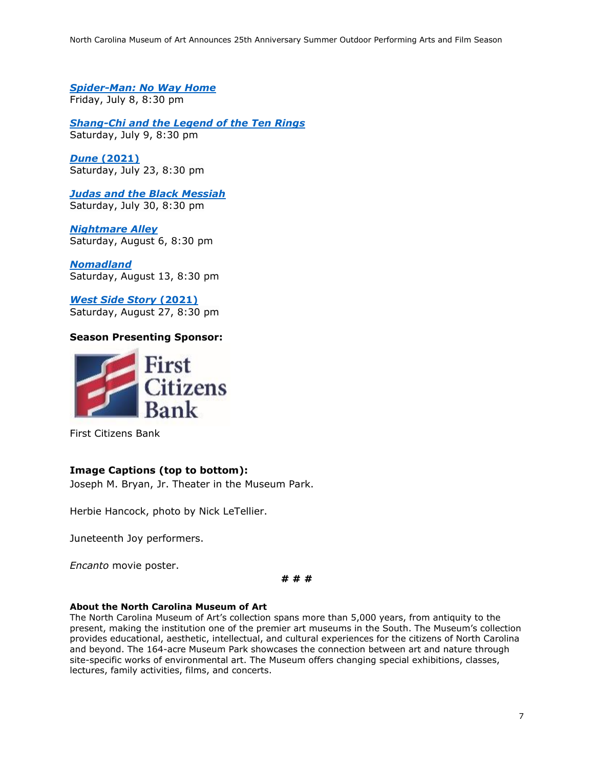*[Spider-Man: No Way Home](https://ncartmuseum.org/events/outdoor-films-spider-man-no-way-home/)* Friday, July 8, 8:30 pm

*[Shang-Chi and the Legend of the Ten Rings](https://ncartmuseum.org/events/outdoor-films-shang-chi-and-the-legend-of-the-ten-rings/)* Saturday, July 9, 8:30 pm

*Dune* **[\(2021\)](https://ncartmuseum.org/events/outdoor-films-dune/)** Saturday, July 23, 8:30 pm

*[Judas and the Black Messiah](https://ncartmuseum.org/events/outdoor-films-judas-and-the-black-messiah/)* Saturday, July 30, 8:30 pm

*[Nightmare Alley](https://ncartmuseum.org/events/outdoor-films-nightmare-alley/)* Saturday, August 6, 8:30 pm

*[Nomadland](https://ncartmuseum.org/events/outdoor-films-nomadland/)* Saturday, August 13, 8:30 pm

*[West Side Story](https://ncartmuseum.org/events/outdoor-films-west-side-story/)* **(2021)** Saturday, August 27, 8:30 pm

## **Season Presenting Sponsor:**



First Citizens Bank

## **Image Captions (top to bottom):**

Joseph M. Bryan, Jr. Theater in the Museum Park.

Herbie Hancock, photo by Nick LeTellier.

Juneteenth Joy performers.

*Encanto* movie poster.

#### **# # #**

#### **About the North Carolina Museum of Art**

The North Carolina Museum of Art's collection spans more than 5,000 years, from antiquity to the present, making the institution one of the premier art museums in the South. The Museum's collection provides educational, aesthetic, intellectual, and cultural experiences for the citizens of North Carolina and beyond. The 164-acre Museum Park showcases the connection between art and nature through site-specific works of environmental art. The Museum offers changing special exhibitions, classes, lectures, family activities, films, and concerts.